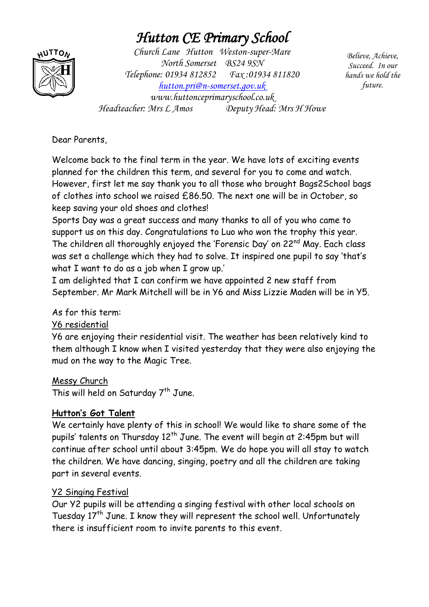# *Hutton CE Primary School*



*Church Lane Hutton Weston-super-Mare North Somerset BS24 9SN Telephone: 01934 812852 Fax :01934 811820 [hutton.pri@n-somerset.gov.uk](mailto:hutton.pri@n-somerset.gov.uk)  www.huttonceprimaryschool.co.uk Headteacher: Mrs L Amos Deputy Head: Mrs H Howe*

*Believe, Achieve, Succeed. In our hands we hold the future.*

Dear Parents,

Welcome back to the final term in the year. We have lots of exciting events planned for the children this term, and several for you to come and watch. However, first let me say thank you to all those who brought Bags2School bags of clothes into school we raised £86.50. The next one will be in October, so keep saving your old shoes and clothes!

Sports Day was a great success and many thanks to all of you who came to support us on this day. Congratulations to Luo who won the trophy this year. The children all thoroughly enjoyed the 'Forensic Day' on 22<sup>nd</sup> May. Each class was set a challenge which they had to solve. It inspired one pupil to say 'that's what I want to do as a job when I grow up.'

I am delighted that I can confirm we have appointed 2 new staff from September. Mr Mark Mitchell will be in Y6 and Miss Lizzie Maden will be in Y5.

As for this term:

Y6 residential

Y6 are enjoying their residential visit. The weather has been relatively kind to them although I know when I visited yesterday that they were also enjoying the mud on the way to the Magic Tree.

Messy Church

This will held on Saturday  $7^{th}$  June.

## **Hutton's Got Talent**

We certainly have plenty of this in school! We would like to share some of the pupils' talents on Thursday  $12<sup>th</sup>$  June. The event will begin at 2:45pm but will continue after school until about 3:45pm. We do hope you will all stay to watch the children. We have dancing, singing, poetry and all the children are taking part in several events.

## Y2 Singing Festival

Our Y2 pupils will be attending a singing festival with other local schools on Tuesday  $17<sup>th</sup>$  June. I know they will represent the school well. Unfortunately there is insufficient room to invite parents to this event.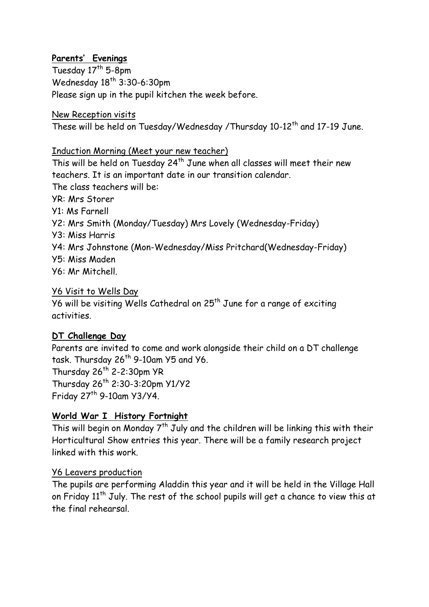### **Parents' Evenings**

Tuesday  $17<sup>th</sup>$  5-8pm Wednesday  $18^{th}$  3:30-6:30pm Please sign up in the pupil kitchen the week before.

New Reception visits

These will be held on Tuesday/Wednesday /Thursday 10-12<sup>th</sup> and 17-19 June.

Induction Morning (Meet your new teacher)

This will be held on Tuesday 24<sup>th</sup> June when all classes will meet their new teachers. It is an important date in our transition calendar. The class teachers will be: YR: Mrs Storer Y1: Ms Farnell Y2: Mrs Smith (Monday/Tuesday) Mrs Lovely (Wednesday-Friday) Y3: Miss Harris Y4: Mrs Johnstone (Mon-Wednesday/Miss Pritchard(Wednesday-Friday) Y5: Miss Maden Y6: Mr Mitchell.

Y6 Visit to Wells Day

Y6 will be visiting Wells Cathedral on  $25<sup>th</sup>$  June for a range of exciting activities.

#### **DT Challenge Day**

Parents are invited to come and work alongside their child on a DT challenge task. Thursday 26<sup>th</sup> 9-10am Y5 and Y6. Thursday  $26^{th}$  2-2:30pm YR Thursday 26th 2:30-3:20pm Y1/Y2 Friday  $27<sup>th</sup>$  9-10am Y3/Y4.

#### **World War I History Fortnight**

This will begin on Monday  $7<sup>th</sup>$  July and the children will be linking this with their Horticultural Show entries this year. There will be a family research project linked with this work.

#### Y6 Leavers production

The pupils are performing Aladdin this year and it will be held in the Village Hall on Friday  $11<sup>th</sup>$  July. The rest of the school pupils will get a chance to view this at the final rehearsal.